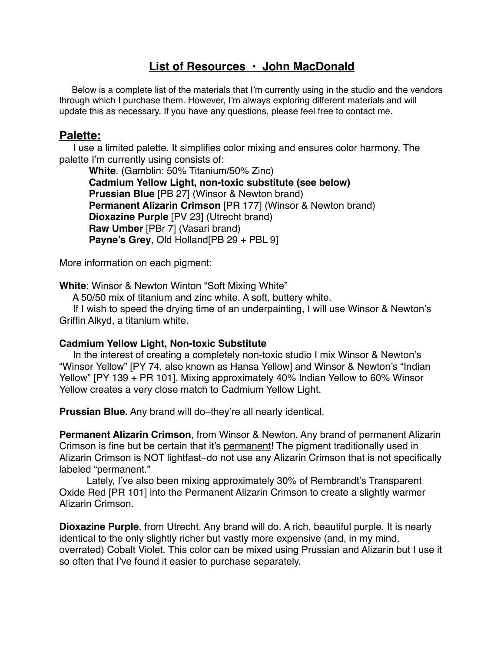# **List of Resources • John MacDonald**

 Below is a complete list of the materials that I'm currently using in the studio and the vendors through which I purchase them. However, I'm always exploring different materials and will update this as necessary. If you have any questions, please feel free to contact me.

### **Palette:**

 I use a limited palette. It simplifies color mixing and ensures color harmony. The palette I'm currently using consists of:

**White**. (Gamblin: 50% Titanium/50% Zinc) **Cadmium Yellow Light, non-toxic substitute (see below) Prussian Blue** [PB 27] (Winsor & Newton brand) **Permanent Alizarin Crimson** [PR 177] (Winsor & Newton brand) **Dioxazine Purple** [PV 23] (Utrecht brand) **Raw Umber** [PBr 7] (Vasari brand) **Payne's Grey**, Old Holland[PB 29 + PBL 9]

More information on each pigment:

**White**: Winsor & Newton Winton "Soft Mixing White"

A 50/50 mix of titanium and zinc white. A soft, buttery white.

 If I wish to speed the drying time of an underpainting, I will use Winsor & Newton's Griffin Alkyd, a titanium white.

### **Cadmium Yellow Light, Non-toxic Substitute**

 In the interest of creating a completely non-toxic studio I mix Winsor & Newton's "Winsor Yellow" [PY 74, also known as Hansa Yellow] and Winsor & Newton's "Indian Yellow" [PY 139 + PR 101]. Mixing approximately 40% Indian Yellow to 60% Winsor Yellow creates a very close match to Cadmium Yellow Light.

**Prussian Blue.** Any brand will do–they're all nearly identical.

**Permanent Alizarin Crimson**, from Winsor & Newton. Any brand of permanent Alizarin Crimson is fine but be certain that it's permanent! The pigment traditionally used in Alizarin Crimson is NOT lightfast–do not use any Alizarin Crimson that is not specifically labeled "permanent."

 Lately, I've also been mixing approximately 30% of Rembrandt's Transparent Oxide Red [PR 101] into the Permanent Alizarin Crimson to create a slightly warmer Alizarin Crimson.

**Dioxazine Purple**, from Utrecht. Any brand will do. A rich, beautiful purple. It is nearly identical to the only slightly richer but vastly more expensive (and, in my mind, overrated) Cobalt Violet. This color can be mixed using Prussian and Alizarin but I use it so often that I've found it easier to purchase separately.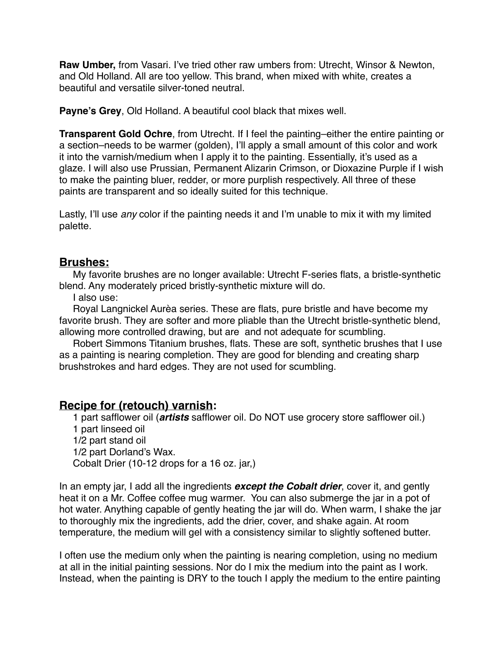**Raw Umber,** from Vasari. I've tried other raw umbers from: Utrecht, Winsor & Newton, and Old Holland. All are too yellow. This brand, when mixed with white, creates a beautiful and versatile silver-toned neutral.

**Payne's Grey**, Old Holland. A beautiful cool black that mixes well.

**Transparent Gold Ochre**, from Utrecht. If I feel the painting–either the entire painting or a section–needs to be warmer (golden), I'll apply a small amount of this color and work it into the varnish/medium when I apply it to the painting. Essentially, it's used as a glaze. I will also use Prussian, Permanent Alizarin Crimson, or Dioxazine Purple if I wish to make the painting bluer, redder, or more purplish respectively. All three of these paints are transparent and so ideally suited for this technique.

Lastly, I'll use *any* color if the painting needs it and I'm unable to mix it with my limited palette.

### **Brushes:**

 My favorite brushes are no longer available: Utrecht F-series flats, a bristle-synthetic blend. Any moderately priced bristly-synthetic mixture will do.

I also use:

 Royal Langnickel Aurèa series. These are flats, pure bristle and have become my favorite brush. They are softer and more pliable than the Utrecht bristle-synthetic blend, allowing more controlled drawing, but are and not adequate for scumbling.

 Robert Simmons Titanium brushes, flats. These are soft, synthetic brushes that I use as a painting is nearing completion. They are good for blending and creating sharp brushstrokes and hard edges. They are not used for scumbling.

## **Recipe for (retouch) varnish:**

 1 part safflower oil (*artists* safflower oil. Do NOT use grocery store safflower oil.) 1 part linseed oil 1/2 part stand oil 1/2 part Dorland's Wax. Cobalt Drier (10-12 drops for a 16 oz. jar,)

In an empty jar, I add all the ingredients *except the Cobalt drier*, cover it, and gently heat it on a Mr. Coffee coffee mug warmer. You can also submerge the jar in a pot of hot water. Anything capable of gently heating the jar will do. When warm, I shake the jar to thoroughly mix the ingredients, add the drier, cover, and shake again. At room temperature, the medium will gel with a consistency similar to slightly softened butter.

I often use the medium only when the painting is nearing completion, using no medium at all in the initial painting sessions. Nor do I mix the medium into the paint as I work. Instead, when the painting is DRY to the touch I apply the medium to the entire painting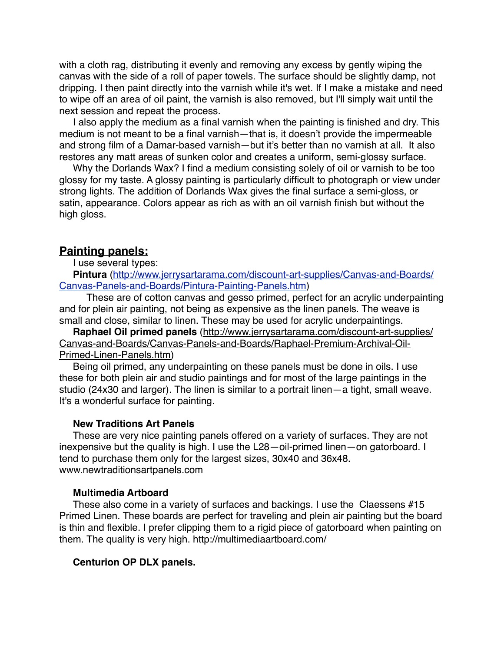with a cloth rag, distributing it evenly and removing any excess by gently wiping the canvas with the side of a roll of paper towels. The surface should be slightly damp, not dripping. I then paint directly into the varnish while it's wet. If I make a mistake and need to wipe off an area of oil paint, the varnish is also removed, but I'll simply wait until the next session and repeat the process.

 I also apply the medium as a final varnish when the painting is finished and dry. This medium is not meant to be a final varnish—that is, it doesn't provide the impermeable and strong film of a Damar-based varnish—but it's better than no varnish at all. It also restores any matt areas of sunken color and creates a uniform, semi-glossy surface.

 Why the Dorlands Wax? I find a medium consisting solely of oil or varnish to be too glossy for my taste. A glossy painting is particularly difficult to photograph or view under strong lights. The addition of Dorlands Wax gives the final surface a semi-gloss, or satin, appearance. Colors appear as rich as with an oil varnish finish but without the high gloss.

#### **Painting panels:**

I use several types:

 **Pintura** [\(http://www.jerrysartarama.com/discount-art-supplies/Canvas-and-Boards/](http://www.jerrysartarama.com/discount-art-supplies/Canvas-and-Boards/Canvas-Panels-and-Boards/Pintura-Painting-Panels.htm) Canvas-Panels-and-Boards/Pintura-Painting-Panels.htm)

 These are of cotton canvas and gesso primed, perfect for an acrylic underpainting and for plein air painting, not being as expensive as the linen panels. The weave is small and close, similar to linen. These may be used for acrylic underpaintings.

 **Raphael Oil primed panels** (http://www.jerrysartarama.com/discount-art-supplies/ Canvas-and-Boards/Canvas-Panels-and-Boards/Raphael-Premium-Archival-Oil-Primed-Linen-Panels.htm)

 Being oil primed, any underpainting on these panels must be done in oils. I use these for both plein air and studio paintings and for most of the large paintings in the studio (24x30 and larger). The linen is similar to a portrait linen—a tight, small weave. It's a wonderful surface for painting.

#### **New Traditions Art Panels**

 These are very nice painting panels offered on a variety of surfaces. They are not inexpensive but the quality is high. I use the L28—oil-primed linen—on gatorboard. I tend to purchase them only for the largest sizes, 30x40 and 36x48. www.newtraditionsartpanels.com

#### **Multimedia Artboard**

 These also come in a variety of surfaces and backings. I use the Claessens #15 Primed Linen. These boards are perfect for traveling and plein air painting but the board is thin and flexible. I prefer clipping them to a rigid piece of gatorboard when painting on them. The quality is very high. http://multimediaartboard.com/

#### **Centurion OP DLX panels.**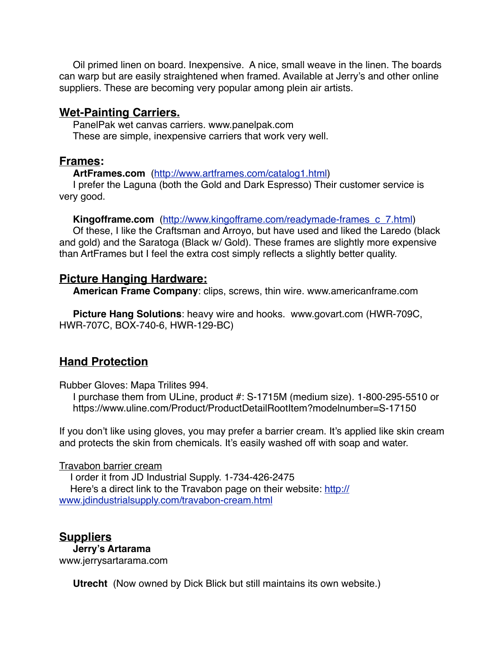Oil primed linen on board. Inexpensive. A nice, small weave in the linen. The boards can warp but are easily straightened when framed. Available at Jerry's and other online suppliers. These are becoming very popular among plein air artists.

### **Wet-Painting Carriers.**

 PanelPak wet canvas carriers. www.panelpak.com These are simple, inexpensive carriers that work very well.

### **Frames:**

**ArtFrames.com** [\(http://www.artframes.com/catalog1.html](http://www.artframes.com/catalog1.html))

 I prefer the Laguna (both the Gold and Dark Espresso) Their customer service is very good.

**Kingofframe.com** (http://www.kingofframe.com/readymade-frames c\_7.html)

 Of these, I like the Craftsman and Arroyo, but have used and liked the Laredo (black and gold) and the Saratoga (Black w/ Gold). These frames are slightly more expensive than ArtFrames but I feel the extra cost simply reflects a slightly better quality.

### **Picture Hanging Hardware:**

**American Frame Company**: clips, screws, thin wire. www.americanframe.com

 **Picture Hang Solutions**: heavy wire and hooks. www.govart.com (HWR-709C, HWR-707C, BOX-740-6, HWR-129-BC)

# **Hand Protection**

Rubber Gloves: Mapa Trilites 994.

 I purchase them from ULine, product #: S-1715M (medium size). 1-800-295-5510 or https://www.uline.com/Product/ProductDetailRootItem?modelnumber=S-17150

If you don't like using gloves, you may prefer a barrier cream. It's applied like skin cream and protects the skin from chemicals. It's easily washed off with soap and water.

### Travabon barrier cream

 I order it from JD Industrial Supply. 1-734-426-2475 Here's a direct link to the Travabon page on their website: http:// www.jdindustrialsupply.com/travabon-cream.html

## **Suppliers**

 **Jerry's Artarama** www.jerrysartarama.com

**Utrecht** (Now owned by Dick Blick but still maintains its own website.)